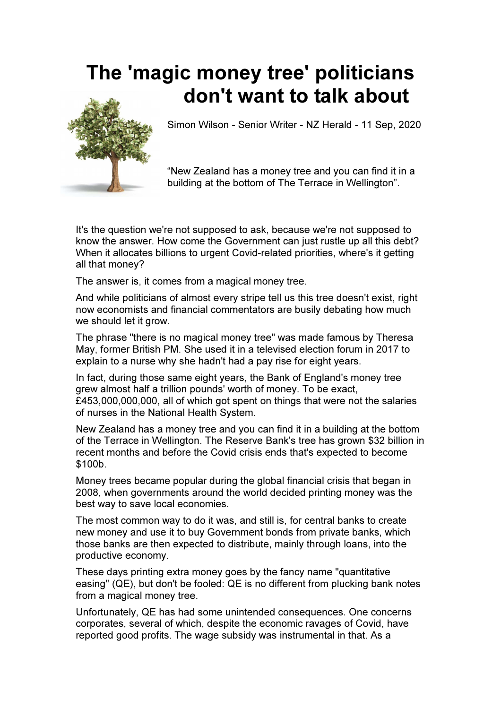## The 'magic money tree' politicians don't want to talk about



Simon Wilson - Senior Writer - NZ Herald - 11 Sep, 2020

"New Zealand has a money tree and you can find it in a building at the bottom of The Terrace in Wellington".

It's the question we're not supposed to ask, because we're not supposed to know the answer. How come the Government can just rustle up all this debt? When it allocates billions to urgent Covid-related priorities, where's it getting all that money?

The answer is, it comes from a magical money tree.

And while politicians of almost every stripe tell us this tree doesn't exist, right now economists and financial commentators are busily debating how much we should let it grow.

The phrase "there is no magical money tree" was made famous by Theresa May, former British PM. She used it in a televised election forum in 2017 to explain to a nurse why she hadn't had a pay rise for eight years.

In fact, during those same eight years, the Bank of England's money tree grew almost half a trillion pounds' worth of money. To be exact, £453,000,000,000, all of which got spent on things that were not the salaries of nurses in the National Health System.

New Zealand has a money tree and you can find it in a building at the bottom of the Terrace in Wellington. The Reserve Bank's tree has grown \$32 billion in recent months and before the Covid crisis ends that's expected to become \$100b.

Money trees became popular during the global financial crisis that began in 2008, when governments around the world decided printing money was the best way to save local economies.

The most common way to do it was, and still is, for central banks to create new money and use it to buy Government bonds from private banks, which those banks are then expected to distribute, mainly through loans, into the productive economy.

These days printing extra money goes by the fancy name "quantitative easing" (QE), but don't be fooled: QE is no different from plucking bank notes from a magical money tree.

Unfortunately, QE has had some unintended consequences. One concerns corporates, several of which, despite the economic ravages of Covid, have reported good profits. The wage subsidy was instrumental in that. As a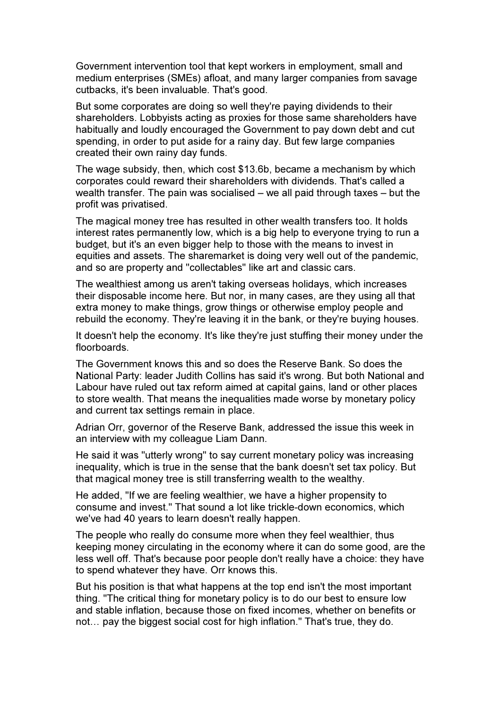Government intervention tool that kept workers in employment, small and medium enterprises (SMEs) afloat, and many larger companies from savage cutbacks, it's been invaluable. That's good.

But some corporates are doing so well they're paying dividends to their shareholders. Lobbyists acting as proxies for those same shareholders have habitually and loudly encouraged the Government to pay down debt and cut spending, in order to put aside for a rainy day. But few large companies created their own rainy day funds.

The wage subsidy, then, which cost \$13.6b, became a mechanism by which corporates could reward their shareholders with dividends. That's called a wealth transfer. The pain was socialised – we all paid through taxes – but the profit was privatised.

The magical money tree has resulted in other wealth transfers too. It holds interest rates permanently low, which is a big help to everyone trying to run a budget, but it's an even bigger help to those with the means to invest in equities and assets. The sharemarket is doing very well out of the pandemic, and so are property and "collectables" like art and classic cars.

The wealthiest among us aren't taking overseas holidays, which increases their disposable income here. But nor, in many cases, are they using all that extra money to make things, grow things or otherwise employ people and rebuild the economy. They're leaving it in the bank, or they're buying houses.

It doesn't help the economy. It's like they're just stuffing their money under the floorboards.

The Government knows this and so does the Reserve Bank. So does the National Party: leader Judith Collins has said it's wrong. But both National and Labour have ruled out tax reform aimed at capital gains, land or other places to store wealth. That means the inequalities made worse by monetary policy and current tax settings remain in place.

Adrian Orr, governor of the Reserve Bank, addressed the issue this week in an interview with my colleague Liam Dann.

He said it was "utterly wrong" to say current monetary policy was increasing inequality, which is true in the sense that the bank doesn't set tax policy. But that magical money tree is still transferring wealth to the wealthy.

He added, "If we are feeling wealthier, we have a higher propensity to consume and invest." That sound a lot like trickle-down economics, which we've had 40 years to learn doesn't really happen.

The people who really do consume more when they feel wealthier, thus keeping money circulating in the economy where it can do some good, are the less well off. That's because poor people don't really have a choice: they have to spend whatever they have. Orr knows this.

But his position is that what happens at the top end isn't the most important thing. "The critical thing for monetary policy is to do our best to ensure low and stable inflation, because those on fixed incomes, whether on benefits or not... pay the biggest social cost for high inflation." That's true, they do.